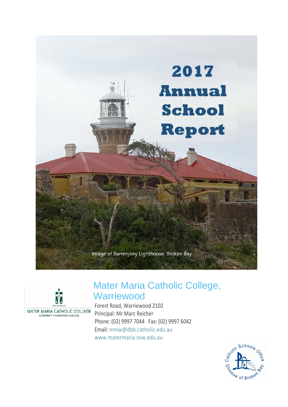



# Mater Maria Catholic College, **Warriewood**

Forest Road, Warriewood 2102 Principal: Mr Marc Reicher Phone: (02) 9997 7044 Fax: (02) 9997 6042 Email: [mmw@dbb.catholic.edu.au](mailto:%20mmw@dbb.catholic.edu.au) [www.matermaria.nsw.edu.au](https://www.matermaria.nsw.edu.au/)

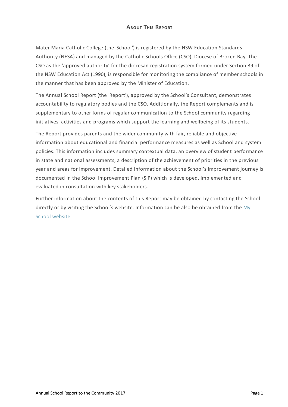# **ABOUT THIS REPORT**

Mater Maria Catholic College (the 'School') is registered by the NSW Education Standards Authority (NESA) and managed by the Catholic Schools Office (CSO), Diocese of Broken Bay. The CSO as the 'approved authority' for the diocesan registration system formed under Section 39 of the NSW Education Act (1990), is responsible for monitoring the compliance of member schools in the manner that has been approved by the Minister of Education.

The Annual School Report (the 'Report'), approved by the School's Consultant, demonstrates accountability to regulatory bodies and the CSO. Additionally, the Report complements and is supplementary to other forms of regular communication to the School community regarding initiatives, activities and programs which support the learning and wellbeing of its students.

The Report provides parents and the wider community with fair, reliable and objective information about educational and financial performance measures as well as School and system policies. This information includes summary contextual data, an overview of student performance in state and national assessments, a description of the achievement of priorities in the previous year and areas for improvement. Detailed information about the School's improvement journey is documented in the School Improvement Plan (SIP) which is developed, implemented and evaluated in consultation with key stakeholders.

Further information about the contents of this Report may be obtained by contacting the School directly or by visiting the School's website. [Information](http://www.myschool.edu.au/) can be also be obtained from the My School website.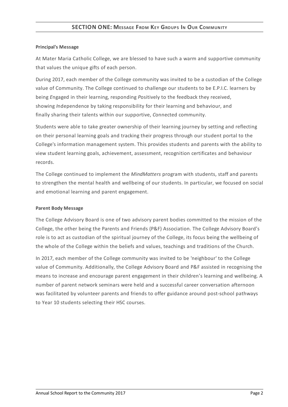# **SECTION ONE: MESSAGE FROM KEY GROUPS I<sup>N</sup> OUR COMMUNITY**

### **Principal's Message**

At Mater Maria Catholic College, we are blessed to have such a warm and supportive community that values the unique gifts of each person.

During 2017, each member of the College community was invited to be a custodian of the College value of Community. The College continued to challenge our students to be E.P.I.C. learners by being *E*ngaged in their learning, responding *P*ositively to the feedback they received, showing *I*ndependence by taking responsibility for their learning and behaviour, and finally sharing their talents within our supportive, *C*onnected community.

Students were able to take greater ownership of their learning journey by setting and reflecting on their personal learning goals and tracking their progress through our student portal to the College's information management system. This provides students and parents with the ability to view student learning goals, achievement, assessment, recognition certificates and behaviour records.

The College continued to implement the *MindMatters* program with students, staff and parents to strengthen the mental health and wellbeing of our students. In particular, we focused on social and emotional learning and parent engagement.

# **Parent Body Message**

The College Advisory Board is one of two advisory parent bodies committed to the mission of the College, the other being the Parents and Friends (P&F) Association. The College Advisory Board's role is to act as custodian of the spiritual journey of the College, its focus being the wellbeing of the whole of the College within the beliefs and values, teachings and traditions of the Church.

In 2017, each member of the College community was invited to be 'neighbour' to the College value of Community. Additionally, the College Advisory Board and P&F assisted in recognising the means to increase and encourage parent engagement in their children's learning and wellbeing. A number of parent network seminars were held and a successful career conversation afternoon was facilitated by volunteer parents and friends to offer guidance around post-school pathways to Year 10 students selecting their HSC courses.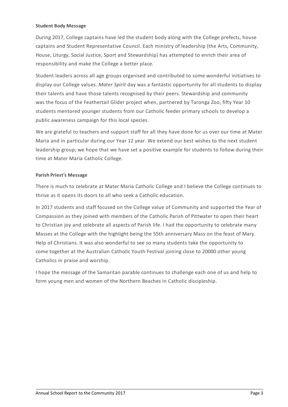## **Student Body Message**

During 2017, College captains have led the student body along with the College prefects, house captains and Student Representative Council. Each ministry of leadership (the Arts, Community, House, Liturgy, Social Justice, Sport and Stewardship) has attempted to enrich their area of responsibility and make the College a better place.

Student leaders across all age groups organised and contributed to some wonderful initiatives to display our College values. *Mater Spirit* day was a fantastic opportunity for all students to display their talents and have those talents recognised by their peers. Stewardship and community was the focus of the Feathertail Glider project when, partnered by Taronga Zoo, fifty Year 10 students mentored younger students from our Catholic feeder primary schools to develop a public awareness campaign for this local species.

We are grateful to teachers and support staff for all they have done for us over our time at Mater Maria and in particular during our Year 12 year. We extend our best wishes to the next student leadership group; we hope that we have set a positive example for students to follow during their time at Mater Maria Catholic College.

# **Parish Priest's Message**

There is much to celebrate at Mater Maria Catholic College and I believe the College continues to thrive as it opens its doors to all who seek a Catholic education.

In 2017 students and staff focused on the College value of Community and supported the Year of Compassion as they joined with members of the Catholic Parish of Pittwater to open their heart to Christian joy and celebrate all aspects of Parish life. I had the opportunity to celebrate many Masses at the College with the highlight being the 55th anniversary Mass on the feast of Mary Help of Christians. It was also wonderful to see so many students take the opportunity to come together at the Australian Catholic Youth Festival joining close to 20000 other young Catholics in praise and worship.

I hope the message of the Samaritan parable continues to challenge each one of us and help to form young men and women of the Northern Beaches in Catholic discipleship.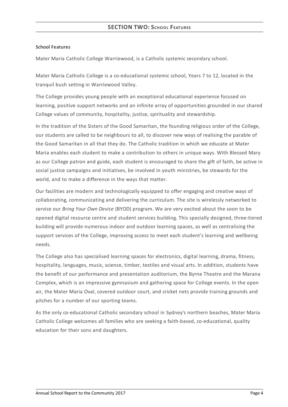# **School Features**

Mater Maria Catholic College Warriewood, is a Catholic systemic secondary school.

Mater Maria Catholic College is a co-educational systemic school, Years 7 to 12, located in the tranquil bush setting in Warriewood Valley.

The College provides young people with an exceptional educational experience focused on learning, positive support networks and an infinite array of opportunities grounded in our shared College values of community, hospitality, justice, spirituality and stewardship.

In the tradition of the Sisters of the Good Samaritan, the founding religious order of the College, our students are called to be neighbours to all, to discover new ways of realising the parable of the Good Samaritan in all that they do. The Catholic tradition in which we educate at Mater Maria enables each student to make a contribution to others in unique ways. With Blessed Mary as our College patron and guide, each student is encouraged to share the gift of faith, be active in social justice campaigns and initiatives, be involved in youth ministries, be stewards for the world, and to make a difference in the ways that matter.

Our facilities are modern and technologically equipped to offer engaging and creative ways of collaborating, communicating and delivering the curriculum. The site is wirelessly networked to service our *Bring Your Own Device* (BYOD) program. We are very excited about the soon to be opened digital resource centre and student services building. This specially designed, three-tiered building will provide numerous indoor and outdoor learning spaces, as well as centralising the support services of the College, improving access to meet each student's learning and wellbeing needs.

The College also has specialised learning spaces for electronics, digital learning, drama, fitness, hospitality, languages, music, science, timber, textiles and visual arts. In addition, students have the benefit of our performance and presentation auditorium, the Byrne Theatre and the Marana Complex, which is an impressive gymnasium and gathering space for College events. In the open air, the Mater Maria Oval, covered outdoor court, and cricket nets provide training grounds and pitches for a number of our sporting teams.

As the only co-educational Catholic secondary school in Sydney's northern beaches, Mater Maria Catholic College welcomes all families who are seeking a faith-based, co-educational, quality education for their sons and daughters.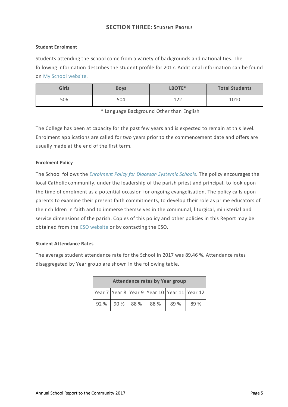# **SECTION THREE: STUDENT PROFILE**

#### **Student Enrolment**

Students attending the School come from a variety of backgrounds and nationalities. The following information describes the student profile for 2017. Additional information can be found on My School [website](http://www.myschool.edu.au/).

| <b>Girls</b> | <b>Boys</b> | LBOTE* | <b>Total Students</b> |
|--------------|-------------|--------|-----------------------|
| 506          | 504         | 1つつ    | 1010                  |

\* Language Background Other than English

The College has been at capacity for the past few years and is expected to remain at this level. Enrolment applications are called for two years prior to the commencement date and offers are usually made at the end of the first term.

# **Enrolment Policy**

The School follows the *[Enrolment](https://www.csodbb.catholic.edu.au/about/dsp-collection.cfm?loadref=125) Policy for Diocesan Systemic Schools*. The policy encourages the local Catholic community, under the leadership of the parish priest and principal, to look upon the time of enrolment as a potential occasion for ongoing evangelisation. The policy calls upon parents to examine their present faith commitments, to develop their role as prime educators of their children in faith and to immerse themselves in the communal, liturgical, ministerial and service dimensions of the parish. Copies of this policy and other policies in this Report may be obtained from the CSO [website](https://www.csodbb.catholic.edu.au/index.cfm) or by contacting the CSO.

#### **Student Attendance Rates**

The average student attendance rate for the School in 2017 was 89.46 %. Attendance rates disaggregated by Year group are shown in the following table.

| <b>Attendance rates by Year group</b>        |  |                     |  |      |      |
|----------------------------------------------|--|---------------------|--|------|------|
| Year 7 Year 8 Year 9 Year 10 Year 11 Year 12 |  |                     |  |      |      |
|                                              |  | 92 % 90 % 88 % 88 % |  | 89 % | 89 % |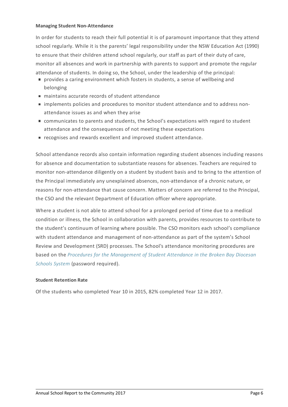#### **Managing Student Non-Attendance**

In order for students to reach their full potential it is of paramount importance that they attend school regularly. While it is the parents' legal responsibility under the NSW Education Act (1990) to ensure that their children attend school regularly, our staff as part of their duty of care, monitor all absences and work in partnership with parents to support and promote the regular attendance of students. In doing so, the School, under the leadership of the principal:

- provides a caring environment which fosters in students, a sense of wellbeing and belonging
- maintains accurate records of student attendance
- implements policies and procedures to monitor student attendance and to address nonattendance issues as and when they arise
- communicates to parents and students, the School's expectations with regard to student attendance and the consequences of not meeting these expectations
- e recognises and rewards excellent and improved student attendance.

School attendance records also contain information regarding student absences including reasons for absence and documentation to substantiate reasons for absences. Teachers are required to monitor non-attendance diligently on a student by student basis and to bring to the attention of the Principal immediately any unexplained absences, non-attendance of a chronic nature, or reasons for non-attendance that cause concern. Matters of concern are referred to the Principal, the CSO and the relevant Department of Education officer where appropriate.

Where a student is not able to attend school for a prolonged period of time due to a medical condition or illness, the School in collaboration with parents, provides resources to contribute to the student's continuum of learning where possible. The CSO monitors each school's compliance with student attendance and management of non-attendance as part of the system's School Review and Development (SRD) processes. The School's attendance monitoring procedures are based on the *Procedures for the [Management](http://srd.dbbcso.org/attendance--enrolment.html) of Student Attendance in the Broken Bay Diocesan Schools System* (password required).

# **Student Retention Rate**

Of the students who completed Year 10 in 2015, 82% completed Year 12 in 2017.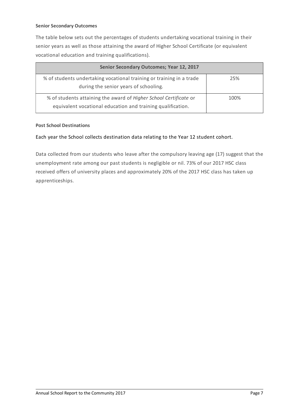## **Senior Secondary Outcomes**

The table below sets out the percentages of students undertaking vocational training in their senior years as well as those attaining the award of Higher School Certificate (or equivalent vocational education and training qualifications).

| <b>Senior Secondary Outcomes; Year 12, 2017</b>                                                                                  |      |
|----------------------------------------------------------------------------------------------------------------------------------|------|
| % of students undertaking vocational training or training in a trade<br>during the senior years of schooling.                    | 25%  |
| % of students attaining the award of Higher School Certificate or<br>equivalent vocational education and training qualification. | 100% |

# **Post School Destinations**

# Each year the School collects destination data relating to the Year 12 student cohort.

Data collected from our students who leave after the compulsory leaving age (17) suggest that the unemployment rate among our past students is negligible or nil. 73% of our 2017 HSC class received offers of university places and approximately 20% of the 2017 HSC class has taken up apprenticeships.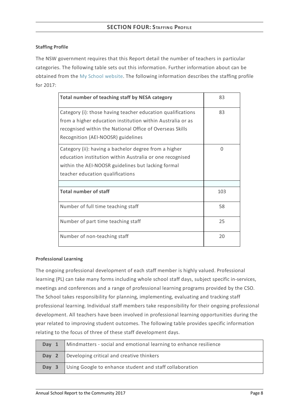# **Staffing Profile**

The NSW government requires that this Report detail the number of teachers in particular categories. The following table sets out this information. Further information about can be obtained from the My School [website](http://www.myschool.edu.au/). The following information describes the staffing profile for 2017:

| Total number of teaching staff by NESA category                                                                                                                                                                             | 83  |
|-----------------------------------------------------------------------------------------------------------------------------------------------------------------------------------------------------------------------------|-----|
| Category (i): those having teacher education qualifications<br>from a higher education institution within Australia or as<br>recognised within the National Office of Overseas Skills<br>Recognition (AEI-NOOSR) guidelines | 83  |
| Category (ii): having a bachelor degree from a higher<br>education institution within Australia or one recognised<br>within the AEI-NOOSR guidelines but lacking formal<br>teacher education qualifications                 | 0   |
| <b>Total number of staff</b>                                                                                                                                                                                                | 103 |
| Number of full time teaching staff                                                                                                                                                                                          | 58  |
| Number of part time teaching staff                                                                                                                                                                                          | 25  |
| Number of non-teaching staff                                                                                                                                                                                                | 20  |

# **Professional Learning**

The ongoing professional development of each staff member is highly valued. Professional learning (PL) can take many forms including whole school staff days, subject specific in-services, meetings and conferences and a range of professional learning programs provided by the CSO. The School takes responsibility for planning, implementing, evaluating and tracking staff professional learning. Individual staff members take responsibility for their ongoing professional development. All teachers have been involved in professional learning opportunities during the year related to improving student outcomes. The following table provides specific information relating to the focus of three of these staff development days.

| Day 1 | Mindmatters - social and emotional learning to enhance resilience |
|-------|-------------------------------------------------------------------|
|       | Day 2 Developing critical and creative thinkers                   |
| Day 3 | Using Google to enhance student and staff collaboration           |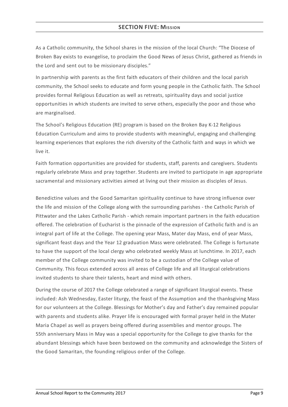# **SECTION FIVE: MISSION**

As a Catholic community, the School shares in the mission of the local Church: "The Diocese of Broken Bay exists to evangelise, to proclaim the Good News of Jesus Christ, gathered as friends in the Lord and sent out to be missionary disciples."

In partnership with parents as the first faith educators of their children and the local parish community, the School seeks to educate and form young people in the Catholic faith. The School provides formal Religious Education as well as retreats, spirituality days and social justice opportunities in which students are invited to serve others, especially the poor and those who are marginalised.

The School's Religious Education (RE) program is based on the Broken Bay K-12 Religious Education Curriculum and aims to provide students with meaningful, engaging and challenging learning experiences that explores the rich diversity of the Catholic faith and ways in which we live it.

Faith formation opportunities are provided for students, staff, parents and caregivers. Students regularly celebrate Mass and pray together. Students are invited to participate in age appropriate sacramental and missionary activities aimed at living out their mission as disciples of Jesus.

Benedictine values and the Good Samaritan spirituality continue to have strong influence over the life and mission of the College along with the surrounding parishes - the Catholic Parish of Pittwater and the Lakes Catholic Parish - which remain important partners in the faith education offered. The celebration of Eucharist is the pinnacle of the expression of Catholic faith and is an integral part of life at the College. The opening year Mass, Mater day Mass, end of year Mass, significant feast days and the Year 12 graduation Mass were celebrated. The College is fortunate to have the support of the local clergy who celebrated weekly Mass at lunchtime. In 2017, each member of the College community was invited to be a custodian of the College value of Community. This focus extended across all areas of College life and all liturgical celebrations invited students to share their talents, heart and mind with others.

During the course of 2017 the College celebrated a range of significant liturgical events. These included: Ash Wednesday, Easter liturgy, the feast of the Assumption and the thanksgiving Mass for our volunteers at the College. Blessings for Mother's day and Father's day remained popular with parents and students alike. Prayer life is encouraged with formal prayer held in the Mater Maria Chapel as well as prayers being offered during assemblies and mentor groups. The 55th anniversary Mass in May was a special opportunity for the College to give thanks for the abundant blessings which have been bestowed on the community and acknowledge the Sisters of the Good Samaritan, the founding religious order of the College.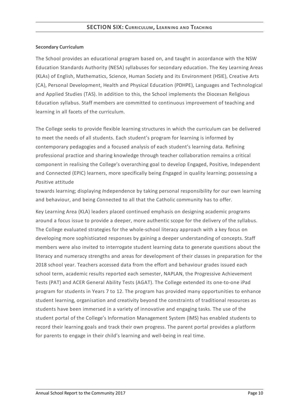# **Secondary Curriculum**

The School provides an educational program based on, and taught in accordance with the NSW Education Standards Authority (NESA) syllabuses for secondary education. The Key Learning Areas (KLAs) of English, Mathematics, Science, Human Society and its Environment (HSIE), Creative Arts (CA), Personal Development, Health and Physical Education (PDHPE), Languages and Technological and Applied Studies (TAS). In addition to this, the School implements the Diocesan Religious Education syllabus. Staff members are committed to continuous improvement of teaching and learning in all facets of the curriculum.

The College seeks to provide flexible learning structures in which the curriculum can be delivered to meet the needs of all students. Each student's program for learning is informed by contemporary pedagogies and a focused analysis of each student's learning data. Refining professional practice and sharing knowledge through teacher collaboration remains a critical component in realising the College's overarching goal to develop Engaged, Positive, Independent and Connected (EPIC) learners, more specifically being *E*ngaged in quality learning; possessing a *P*ositive attitude

towards learning; displaying *I*ndependence by taking personal responsibility for our own learning and behaviour, and being *C*onnected to all that the Catholic community has to offer.

Key Learning Area (KLA) leaders placed continued emphasis on designing academic programs around a focus issue to provide a deeper, more authentic scope for the delivery of the syllabus. The College evaluated strategies for the whole-school literacy approach with a key focus on developing more sophisticated responses by gaining a deeper understanding of concepts. Staff members were also invited to interrogate student learning data to generate questions about the literacy and numeracy strengths and areas for development of their classes in preparation for the 2018 school year. Teachers accessed data from the effort and behaviour grades issued each school term, academic results reported each semester, NAPLAN, the Progressive Achievement Tests (PAT) and ACER General Ability Tests (AGAT). The College extended its one-to-one iPad program for students in Years 7 to 12. The program has provided many opportunities to enhance student learning, organisation and creativity beyond the constraints of traditional resources as students have been immersed in a variety of innovative and engaging tasks. The use of the student portal of the College's Information Management System (IMS) has enabled students to record their learning goals and track their own progress. The parent portal provides a platform for parents to engage in their child's learning and well-being in real time.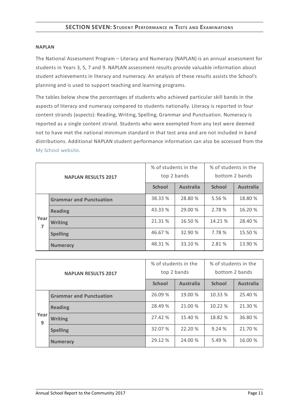#### **NAPLAN**

The National Assessment Program – Literacy and Numeracy (NAPLAN) is an annual assessment for students in Years 3, 5, 7 and 9. NAPLAN assessment results provide valuable information about student achievements in literacy and numeracy. An analysis of these results assists the School's planning and is used to support teaching and learning programs.

The tables below show the percentages of students who achieved particular skill bands in the aspects of literacy and numeracy compared to students nationally. Literacy is reported in four content strands (aspects): Reading, Writing, Spelling, Grammar and Punctuation. Numeracy is reported as a single content strand. Students who were exempted from any test were deemed not to have met the national minimum standard in that test area and are not included in band distributions. Additional NAPLAN student performance information can also be accessed from the My School [website](http://www.myschool.edu.au/).

| <b>NAPLAN RESULTS 2017</b> |                                | % of students in the | top 2 bands      | % of students in the<br>bottom 2 bands |                  |
|----------------------------|--------------------------------|----------------------|------------------|----------------------------------------|------------------|
|                            |                                | <b>School</b>        | <b>Australia</b> | <b>School</b>                          | <b>Australia</b> |
|                            | <b>Grammar and Punctuation</b> | 38.33 %              | 28.80 %          | 5.56 %                                 | 18.80 %          |
|                            | <b>Reading</b>                 | 43.33 %              | 29.00 %          | 2.78 %                                 | 16.20 %          |
| Year<br>7                  | <b>Writing</b>                 | 21.31 %              | 16.50 %          | 14.21 %                                | 28.40 %          |
|                            | <b>Spelling</b>                | 46.67 %              | 32.90 %          | 7.78 %                                 | 15.50 %          |
|                            | <b>Numeracy</b>                | 48.31 %              | 33.10 %          | 2.81 %                                 | 13.90 %          |

| <b>NAPLAN RESULTS 2017</b> |                                | % of students in the | top 2 bands      | % of students in the<br>bottom 2 bands |                  |
|----------------------------|--------------------------------|----------------------|------------------|----------------------------------------|------------------|
|                            |                                | <b>School</b>        | <b>Australia</b> | <b>School</b>                          | <b>Australia</b> |
|                            | <b>Grammar and Punctuation</b> | 26.09 %              | 19.00 %          | 10.33 %                                | 25.40 %          |
|                            | <b>Reading</b>                 | 28.49 %              | 21.00 %          | 10.22 %                                | 21.30 %          |
| Year<br>9                  | <b>Writing</b>                 | 27.42 %              | 15.40 %          | 18.82 %                                | 36.80 %          |
|                            | <b>Spelling</b>                | 32.07 %              | 22.20 %          | 9.24%                                  | 21.70 %          |
|                            | <b>Numeracy</b>                | 29.12 %              | 24.00 %          | 5.49%                                  | 16.00 %          |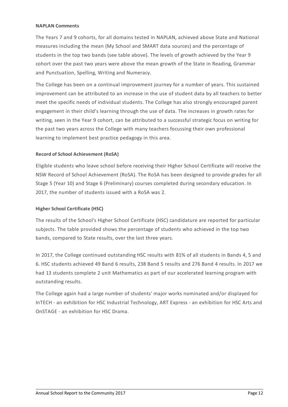## **NAPLAN Comments**

The Years 7 and 9 cohorts, for all domains tested in NAPLAN, achieved above State and National measures including the mean (My School and SMART data sources) and the percentage of students in the top two bands (see table above). The levels of growth achieved by the Year 9 cohort over the past two years were above the mean growth of the State in Reading, Grammar and Punctuation, Spelling, Writing and Numeracy.

The College has been on a continual improvement journey for a number of years. This sustained improvement can be attributed to an increase in the use of student data by all teachers to better meet the specific needs of individual students. The College has also strongly encouraged parent engagement in their child's learning through the use of data. The increases in growth rates for writing, seen in the Year 9 cohort, can be attributed to a successful strategic focus on writing for the past two years across the College with many teachers focussing their own professional learning to implement best practice pedagogy in this area.

# **Record of School Achievement (RoSA)**

Eligible students who leave school before receiving their Higher School Certificate will receive the NSW Record of School Achievement (RoSA). The RoSA has been designed to provide grades for all Stage 5 (Year 10) and Stage 6 (Preliminary) courses completed during secondary education. In 2017, the number of students issued with a RoSA was 2.

# **Higher School Certificate (HSC)**

The results of the School's Higher School Certificate (HSC) candidature are reported for particular subjects. The table provided shows the percentage of students who achieved in the top two bands, compared to State results, over the last three years.

In 2017, the College continued outstanding HSC results with 81% of all students in Bands 4, 5 and 6. HSC students achieved 49 Band 6 results, 238 Band 5 results and 276 Band 4 results. In 2017 we had 13 students complete 2 unit Mathematics as part of our accelerated learning program with outstanding results.

The College again had a large number of students' major works nominated and/or displayed for InTECH - an exhibition for HSC Industrial Technology, ART Express - an exhibition for HSC Arts and OnSTAGE - an exhibition for HSC Drama.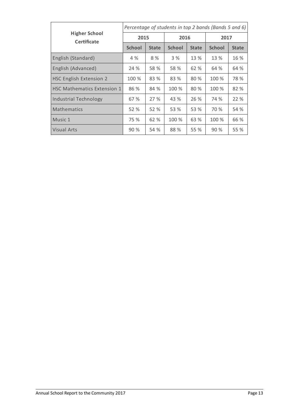|                                            | Percentage of students in top 2 bands (Bands 5 and 6) |              |               |              |               |              |
|--------------------------------------------|-------------------------------------------------------|--------------|---------------|--------------|---------------|--------------|
| <b>Higher School</b><br><b>Certificate</b> | 2015                                                  |              | 2016          |              | 2017          |              |
|                                            | <b>School</b>                                         | <b>State</b> | <b>School</b> | <b>State</b> | <b>School</b> | <b>State</b> |
| English (Standard)                         | 4 %                                                   | 8 %          | 3 %           | 13 %         | 13 %          | 16 %         |
| English (Advanced)                         | 24 %                                                  | 58 %         | 58 %          | 62 %         | 64 %          | 64 %         |
| <b>HSC English Extension 2</b>             | 100 %                                                 | 83 %         | 83 %          | 80 %         | 100 %         | 78 %         |
| <b>HSC Mathematics Extension 1</b>         | 86 %                                                  | 84 %         | 100 %         | 80 %         | 100 %         | 82 %         |
| <b>Industrial Technology</b>               | 67 %                                                  | 27 %         | 43 %          | 26 %         | 74 %          | 22 %         |
| <b>Mathematics</b>                         | 52 %                                                  | 52 %         | 53 %          | 53 %         | 70 %          | 54 %         |
| Music 1                                    | 75 %                                                  | 62 %         | 100 %         | 63 %         | 100 %         | 66 %         |
| <b>Visual Arts</b>                         | 90%                                                   | 54 %         | 88 %          | 55 %         | 90 %          | 55 %         |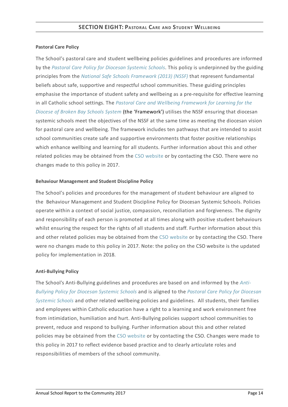# **Pastoral Care Policy**

The School's pastoral care and student wellbeing policies guidelines and procedures are informed by the *Pastoral Care Policy for [Diocesan](https://www.csodbb.catholic.edu.au/about/dsp-collection.cfm?loadref=125) Systemic Schools*. This policy is underpinned by the guiding principles from the *National Safe Schools [Framework](https://www.education.gov.au/national-safe-schools-framework-0) (2013) (NSSF)* that represent fundamental beliefs about safe, supportive and respectful school communities. These guiding principles emphasise the importance of student safety and wellbeing as a pre-requisite for effective learning in all Catholic school settings. The *Pastoral Care and Wellbeing Framework for Learning for the Diocese of Broken Bay Schools System* (the ['Framework'\)](https://www.csodbb.catholic.edu.au/studentwellbeing/dsp-default.cfm?loadref=140) utilises the NSSF ensuring that diocesan systemic schools meet the objectives of the NSSF at the same time as meeting the diocesan vision for pastoral care and wellbeing. The framework includes ten pathways that are intended to assist school communities create safe and supportive environments that foster positive relationships which enhance wellbing and learning for all students. Further information about this and other related policies may be obtained from the CSO [website](https://www.csodbb.catholic.edu.au/about/dsp-collection.cfm?loadref=125) or by contacting the CSO. There were no changes made to this policy in 2017.

# **Behaviour Management and Student Discipline Policy**

The School's policies and procedures for the management of student behaviour are aligned to the Behaviour Management and Student Discipline Policy for Diocesan Systemic Schools. Policies operate within a context of social justice, compassion, reconciliation and forgiveness. The dignity and responsibility of each person is promoted at all times along with positive student behaviours whilst ensuring the respect for the rights of all students and staff. Further information about this and other related policies may be obtained from the CSO [website](https://www.csodbb.catholic.edu.au/about/dsp-collection.cfm?loadref=125) or by contacting the CSO. There were no changes made to this policy in 2017. Note: the policy on the CSO website is the updated policy for implementation in 2018.

# **Anti-Bullying Policy**

The School's [Anti-Bullying](https://www.csodbb.catholic.edu.au/about/dsp-collection.cfm?loadref=125) guidelines and procedures are based on and informed by the *Anti-Bullying Policy for Diocesan Systemic Schools* and is aligned to the *Pastoral Care Policy for Diocesan Systemic Schools* and other related wellbeing policies and [guidelines.](https://www.csodbb.catholic.edu.au/about/dsp-collection.cfm?loadref=125) All students, their families and employees within Catholic education have a right to a learning and work environment free from intimidation, humiliation and hurt. Anti-Bullying policies support school communities to prevent, reduce and respond to bullying. Further information about this and other related policies may be obtained from the CSO [website](https://www.csodbb.catholic.edu.au/about/dsp-collection.cfm?loadref=125) or by contacting the CSO. Changes were made to this policy in 2017 to reflect evidence based practice and to clearly articulate roles and responsibilities of members of the school community.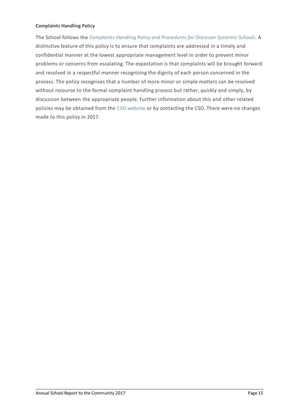## **Complaints Handling Policy**

The School follows the *[Complaints](https://www.csodbb.catholic.edu.au/about/dsp-collection.cfm?loadref=125) Handling Policy and Procedures for Diocesan Systemic Schools.* A distinctive feature of this policy is to ensure that complaints are addressed in a timely and confidential manner at the lowest appropriate management level in order to prevent minor problems or concerns from escalating. The expectation is that complaints will be brought forward and resolved in a respectful manner recognising the dignity of each person concerned in the process. The policy recognises that a number of more minor or simple matters can be resolved without recourse to the formal complaint handling process but rather, quickly and simply, by discussion between the appropriate people. Further information about this and other related policies may be obtained from the CSO [website](https://www.csodbb.catholic.edu.au/about/dsp-collection.cfm?loadref=125) or by contacting the CSO. There were no changes made to this policy in 2017.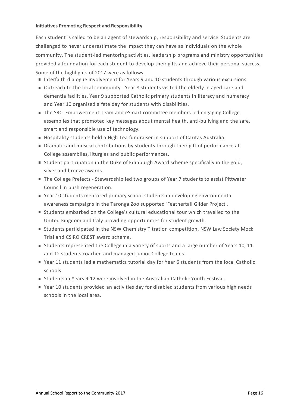## **Initiatives Promoting Respect and Responsibility**

Each student is called to be an agent of stewardship, responsibility and service. Students are challenged to never underestimate the impact they can have as individuals on the whole community. The student-led mentoring activities, leadership programs and ministry opportunities provided a foundation for each student to develop their gifts and achieve their personal success. Some of the highlights of 2017 were as follows:

- Interfaith dialogue involvement for Years 9 and 10 students through various excursions.
- Outreach to the local community Year 8 students visited the elderly in aged care and dementia facilities, Year 9 supported Catholic primary students in literacy and numeracy and Year 10 organised a fete day for students with disabilities.
- The SRC, Empowerment Team and eSmart committee members led engaging College assemblies that promoted key messages about mental health, anti-bullying and the safe, smart and responsible use of technology.
- Hospitality students held a High Tea fundraiser in support of Caritas Australia.
- Dramatic and musical contributions by students through their gift of performance at College assemblies, liturgies and public performances.
- Student participation in the Duke of Edinburgh Award scheme specifically in the gold, silver and bronze awards.
- The College Prefects Stewardship led two groups of Year 7 students to assist Pittwater Council in bush regeneration.
- Year 10 students mentored primary school students in developing environmental awareness campaigns in the Taronga Zoo supported 'Feathertail Glider Project'.
- Students embarked on the College's cultural educational tour which travelled to the United Kingdom and Italy providing opportunities for student growth.
- **Students participated in the NSW Chemistry Titration competition, NSW Law Society Mock** Trial and CSIRO CREST award scheme.
- Students represented the College in a variety of sports and a large number of Years 10, 11 and 12 students coached and managed junior College teams.
- Year 11 students led a mathematics tutorial day for Year 6 students from the local Catholic schools.
- **Students in Years 9-12 were involved in the Australian Catholic Youth Festival.**
- Year 10 students provided an activities day for disabled students from various high needs schools in the local area.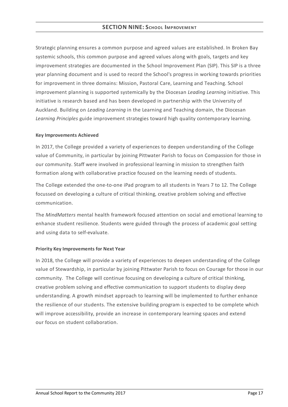Strategic planning ensures a common purpose and agreed values are established. In Broken Bay systemic schools, this common purpose and agreed values along with goals, targets and key improvement strategies are documented in the School Improvement Plan (SIP). This SIP is a three year planning document and is used to record the School's progress in working towards priorities for improvement in three domains: Mission, Pastoral Care, Learning and Teaching. School improvement planning is supported systemically by the Diocesan *Leading Learning* initiative. This initiative is research based and has been developed in partnership with the University of Auckland. Building on *Leading Learning* in the Learning and Teaching domain, the Diocesan *Learning Principles* guide improvement strategies toward high quality contemporary learning.

## **KeyImprovements Achieved**

In 2017, the College provided a variety of experiences to deepen understanding of the College value of Community, in particular by joining Pittwater Parish to focus on Compassion for those in our community. Staff were involved in professional learning in mission to strengthen faith formation along with collaborative practice focused on the learning needs of students.

The College extended the one-to-one iPad program to all students in Years 7 to 12. The College focussed on developing a culture of critical thinking, creative problem solving and effective communication.

The *MindMatters* mental health framework focused attention on social and emotional learning to enhance student resilience. Students were guided through the process of academic goal setting and using data to self-evaluate.

# **Priority KeyImprovements for Next Year**

In 2018, the College will provide a variety of experiences to deepen understanding of the College value of Stewardship, in particular by joining Pittwater Parish to focus on Courage for those in our community. The College will continue focusing on developing a culture of critical thinking, creative problem solving and effective communication to support students to display deep understanding. A growth mindset approach to learning will be implemented to further enhance the resilience of our students. The extensive building program is expected to be complete which will improve accessibility, provide an increase in contemporary learning spaces and extend our focus on student collaboration.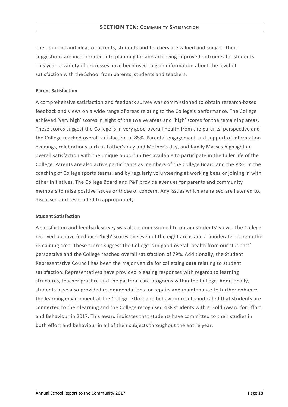The opinions and ideas of parents, students and teachers are valued and sought. Their suggestions are incorporated into planning for and achieving improved outcomes for students. This year, a variety of processes have been used to gain information about the level of satisfaction with the School from parents, students and teachers.

## **Parent Satisfaction**

A comprehensive satisfaction and feedback survey was commissioned to obtain research-based feedback and views on a wide range of areas relating to the College's performance. The College achieved 'very high' scores in eight of the twelve areas and 'high' scores for the remaining areas. These scores suggest the College is in very good overall health from the parents' perspective and the College reached overall satisfaction of 85%. Parental engagement and support of information evenings, celebrations such as Father's day and Mother's day, and family Masses highlight an overall satisfaction with the unique opportunities available to participate in the fuller life of the College. Parents are also active participants as members of the College Board and the P&F, in the coaching of College sports teams, and by regularly volunteering at working bees or joining in with other initiatives. The College Board and P&F provide avenues for parents and community members to raise positive issues or those of concern. Any issues which are raised are listened to, discussed and responded to appropriately.

#### **Student Satisfaction**

A satisfaction and feedback survey was also commissioned to obtain students' views. The College received positive feedback: 'high' scores on seven of the eight areas and a 'moderate' score in the remaining area. These scores suggest the College is in good overall health from our students' perspective and the College reached overall satisfaction of 79%. Additionally, the Student Representative Council has been the major vehicle for collecting data relating to student satisfaction. Representatives have provided pleasing responses with regards to learning structures, teacher practice and the pastoral care programs within the College. Additionally, students have also provided recommendations for repairs and maintenance to further enhance the learning environment at the College. Effort and behaviour results indicated that students are connected to their learning and the College recognised 438 students with a Gold Award for Effort and Behaviour in 2017. This award indicates that students have committed to their studies in both effort and behaviour in all of their subjects throughout the entire year.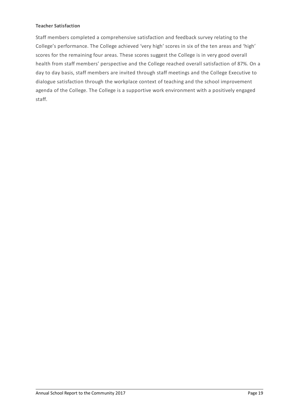## **Teacher Satisfaction**

Staff members completed a comprehensive satisfaction and feedback survey relating to the College's performance. The College achieved 'very high' scores in six of the ten areas and 'high' scores for the remaining four areas. These scores suggest the College is in very good overall health from staff members' perspective and the College reached overall satisfaction of 87%. On a day to day basis, staff members are invited through staff meetings and the College Executive to dialogue satisfaction through the workplace context of teaching and the school improvement agenda of the College. The College is a supportive work environment with a positively engaged staff.